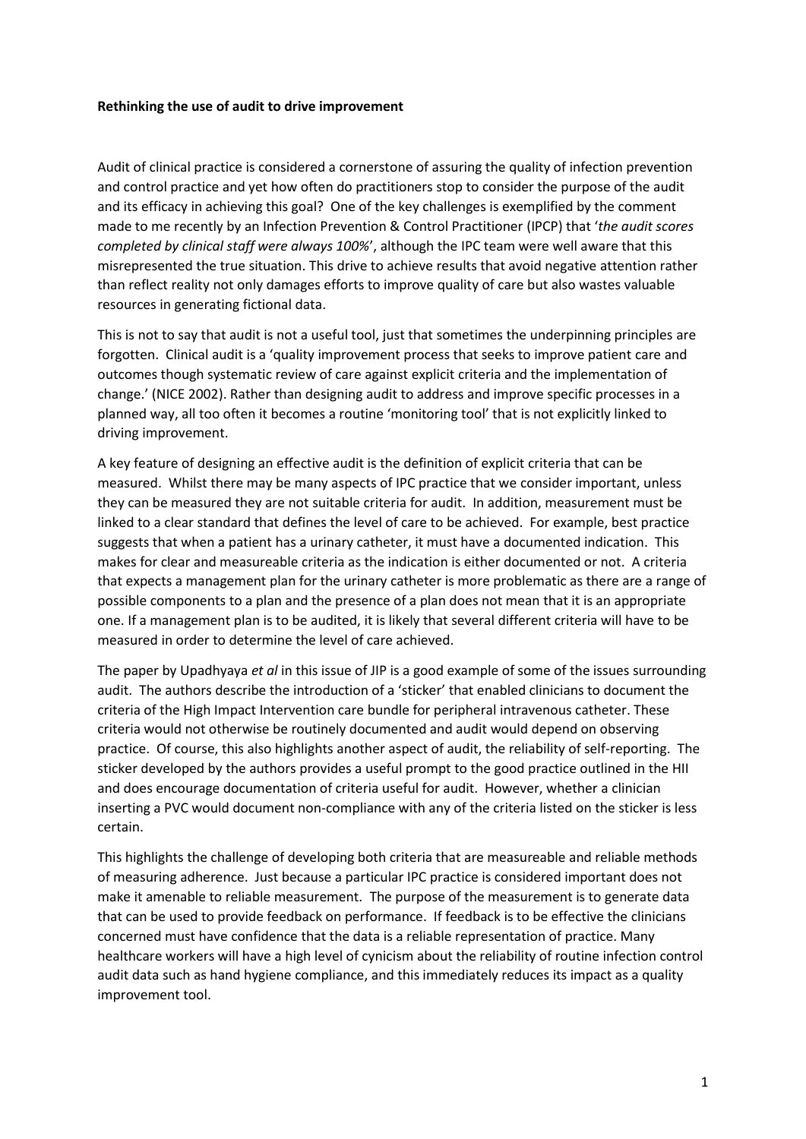## **Rethinking the use of audit to drive improvement**

Audit of clinical practice is considered a cornerstone of assuring the quality of infection prevention and control practice and yet how often do practitioners stop to consider the purpose of the audit and its efficacy in achieving this goal? One of the key challenges is exemplified by the comment made to me recently by an Infection Prevention & Control Practitioner (IPCP) that '*the audit scores completed by clinical staff were always 100%*', although the IPC team were well aware that this misrepresented the true situation. This drive to achieve results that avoid negative attention rather than reflect reality not only damages efforts to improve quality of care but also wastes valuable resources in generating fictional data.

This is not to say that audit is not a useful tool, just that sometimes the underpinning principles are forgotten. Clinical audit is a 'quality improvement process that seeks to improve patient care and outcomes though systematic review of care against explicit criteria and the implementation of change.' (NICE 2002). Rather than designing audit to address and improve specific processes in a planned way, all too often it becomes a routine 'monitoring tool' that is not explicitly linked to driving improvement.

A key feature of designing an effective audit is the definition of explicit criteria that can be measured. Whilst there may be many aspects of IPC practice that we consider important, unless they can be measured they are not suitable criteria for audit. In addition, measurement must be linked to a clear standard that defines the level of care to be achieved. For example, best practice suggests that when a patient has a urinary catheter, it must have a documented indication. This makes for clear and measureable criteria as the indication is either documented or not. A criteria that expects a management plan for the urinary catheter is more problematic as there are a range of possible components to a plan and the presence of a plan does not mean that it is an appropriate one. If a management plan is to be audited, it is likely that several different criteria will have to be measured in order to determine the level of care achieved.

The paper by Upadhyaya *et al* in this issue of JIP is a good example of some of the issues surrounding audit. The authors describe the introduction of a 'sticker' that enabled clinicians to document the criteria of the High Impact Intervention care bundle for peripheral intravenous catheter. These criteria would not otherwise be routinely documented and audit would depend on observing practice. Of course, this also highlights another aspect of audit, the reliability of self-reporting. The sticker developed by the authors provides a useful prompt to the good practice outlined in the HII and does encourage documentation of criteria useful for audit. However, whether a clinician inserting a PVC would document non-compliance with any of the criteria listed on the sticker is less certain.

This highlights the challenge of developing both criteria that are measureable and reliable methods of measuring adherence. Just because a particular IPC practice is considered important does not make it amenable to reliable measurement. The purpose of the measurement is to generate data that can be used to provide feedback on performance. If feedback is to be effective the clinicians concerned must have confidence that the data is a reliable representation of practice. Many healthcare workers will have a high level of cynicism about the reliability of routine infection control audit data such as hand hygiene compliance, and this immediately reduces its impact as a quality improvement tool.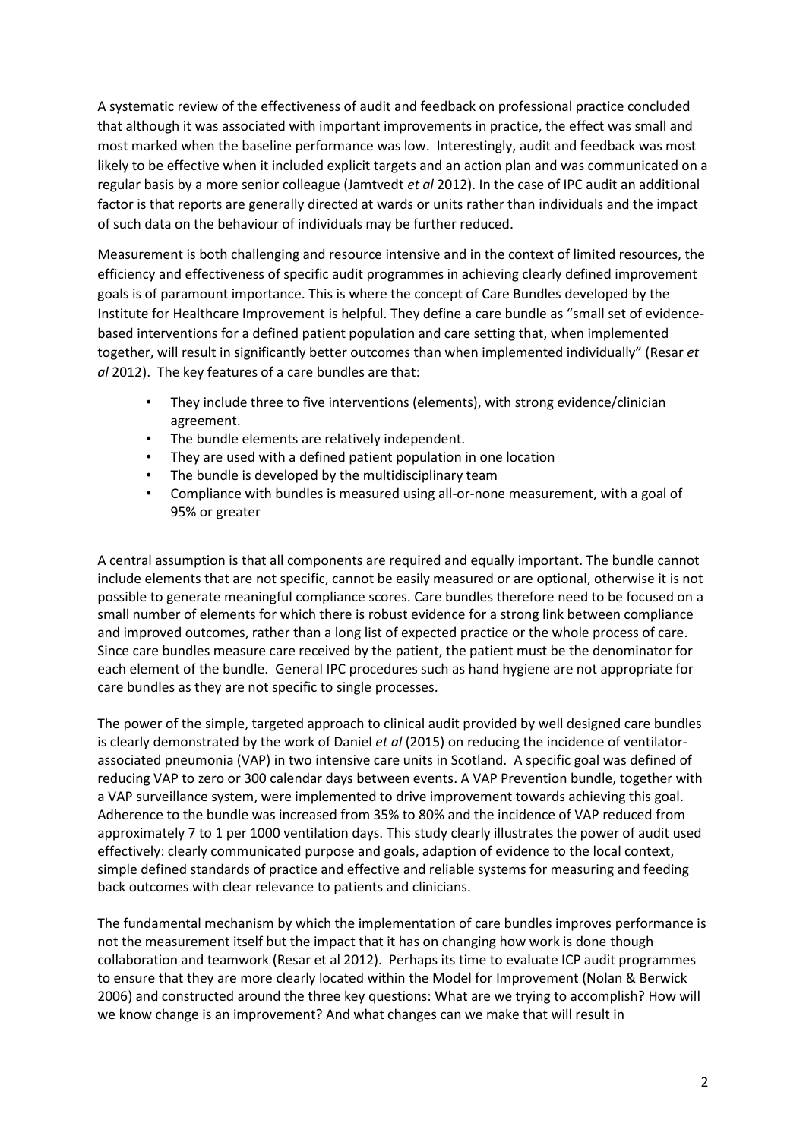A systematic review of the effectiveness of audit and feedback on professional practice concluded that although it was associated with important improvements in practice, the effect was small and most marked when the baseline performance was low. Interestingly, audit and feedback was most likely to be effective when it included explicit targets and an action plan and was communicated on a regular basis by a more senior colleague (Jamtvedt *et al* 2012). In the case of IPC audit an additional factor is that reports are generally directed at wards or units rather than individuals and the impact of such data on the behaviour of individuals may be further reduced.

Measurement is both challenging and resource intensive and in the context of limited resources, the efficiency and effectiveness of specific audit programmes in achieving clearly defined improvement goals is of paramount importance. This is where the concept of Care Bundles developed by the Institute for Healthcare Improvement is helpful. They define a care bundle as "small set of evidencebased interventions for a defined patient population and care setting that, when implemented together, will result in significantly better outcomes than when implemented individually" (Resar *et al* 2012). The key features of a care bundles are that:

- They include three to five interventions (elements), with strong evidence/clinician agreement.
- The bundle elements are relatively independent.
- They are used with a defined patient population in one location
- The bundle is developed by the multidisciplinary team
- Compliance with bundles is measured using all-or-none measurement, with a goal of 95% or greater

A central assumption is that all components are required and equally important. The bundle cannot include elements that are not specific, cannot be easily measured or are optional, otherwise it is not possible to generate meaningful compliance scores. Care bundles therefore need to be focused on a small number of elements for which there is robust evidence for a strong link between compliance and improved outcomes, rather than a long list of expected practice or the whole process of care. Since care bundles measure care received by the patient, the patient must be the denominator for each element of the bundle. General IPC procedures such as hand hygiene are not appropriate for care bundles as they are not specific to single processes.

The power of the simple, targeted approach to clinical audit provided by well designed care bundles is clearly demonstrated by the work of Daniel *et al* (2015) on reducing the incidence of ventilatorassociated pneumonia (VAP) in two intensive care units in Scotland. A specific goal was defined of reducing VAP to zero or 300 calendar days between events. A VAP Prevention bundle, together with a VAP surveillance system, were implemented to drive improvement towards achieving this goal. Adherence to the bundle was increased from 35% to 80% and the incidence of VAP reduced from approximately 7 to 1 per 1000 ventilation days. This study clearly illustrates the power of audit used effectively: clearly communicated purpose and goals, adaption of evidence to the local context, simple defined standards of practice and effective and reliable systems for measuring and feeding back outcomes with clear relevance to patients and clinicians.

The fundamental mechanism by which the implementation of care bundles improves performance is not the measurement itself but the impact that it has on changing how work is done though collaboration and teamwork (Resar et al 2012). Perhaps its time to evaluate ICP audit programmes to ensure that they are more clearly located within the Model for Improvement (Nolan & Berwick 2006) and constructed around the three key questions: What are we trying to accomplish? How will we know change is an improvement? And what changes can we make that will result in